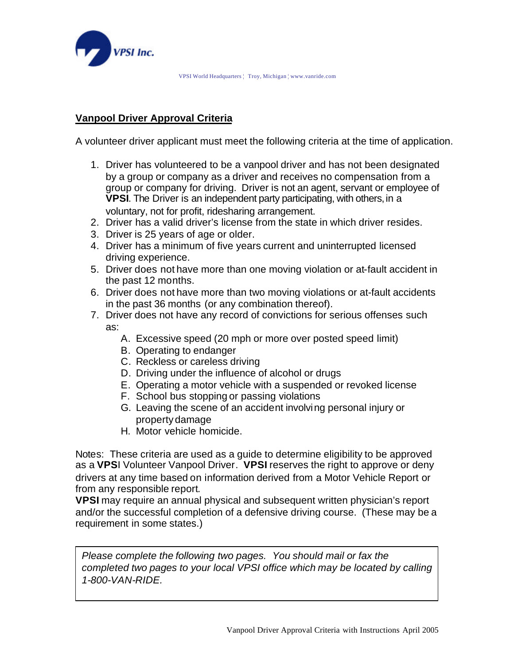

## **Vanpool Driver Approval Criteria**

A volunteer driver applicant must meet the following criteria at the time of application.

- 1. Driver has volunteered to be a vanpool driver and has not been designated by a group or company as a driver and receives no compensation from a group or company for driving. Driver is not an agent, servant or employee of **VPSI**. The Driver is an independent party participating, with others, in a voluntary, not for profit, ridesharing arrangement.
- 2. Driver has a valid driver's license from the state in which driver resides.
- 3. Driver is 25 years of age or older.
- 4. Driver has a minimum of five years current and uninterrupted licensed driving experience.
- 5. Driver does not have more than one moving violation or at-fault accident in the past 12 months.
- 6. Driver does not have more than two moving violations or at-fault accidents in the past 36 months (or any combination thereof).
- 7. Driver does not have any record of convictions for serious offenses such as:
	- A. Excessive speed (20 mph or more over posted speed limit)
	- B. Operating to endanger
	- C. Reckless or careless driving
	- D. Driving under the influence of alcohol or drugs
	- E. Operating a motor vehicle with a suspended or revoked license
	- F. School bus stopping or passing violations
	- G. Leaving the scene of an accident involving personal injury or property damage
	- H. Motor vehicle homicide.

Notes: These criteria are used as a guide to determine eligibility to be approved as a **VPS**I Volunteer Vanpool Driver. **VPSI** reserves the right to approve or deny drivers at any time based on information derived from a Motor Vehicle Report or from any responsible report.

**VPSI** may require an annual physical and subsequent written physician's report and/or the successful completion of a defensive driving course. (These may be a requirement in some states.)

*Please complete the following two pages. You should mail or fax the completed two pages to your local VPSI office which may be located by calling 1-800-VAN-RIDE.*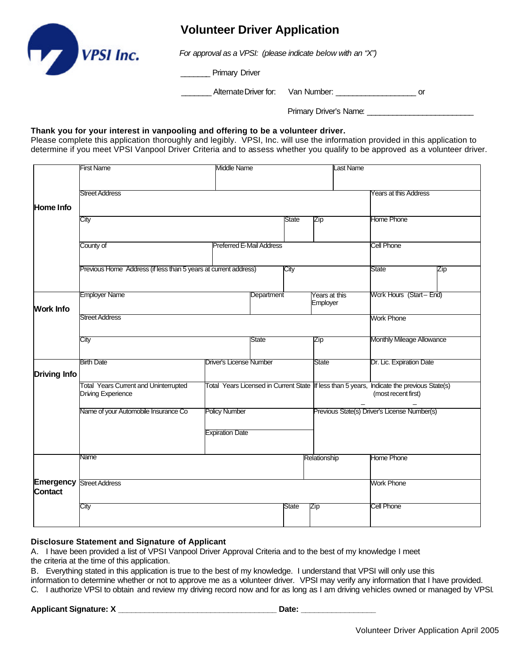

## **Volunteer Driver Application**

*For approval as a VPSI: (please indicate below with an "X")*

\_\_\_\_\_\_\_ Primary Driver

\_\_\_\_\_\_\_ Alternate Driver for: Van Number: \_\_\_\_\_\_\_\_\_\_\_\_\_\_\_\_\_\_\_ or

Primary Driver's Name: \_\_\_\_\_\_\_\_\_\_\_\_\_\_\_\_\_\_\_\_\_\_\_\_\_

### **Thank you for your interest in vanpooling and offering to be a volunteer driver.**

Please complete this application thoroughly and legibly. VPSI, Inc. will use the information provided in this application to determine if you meet VPSI Vanpool Driver Criteria and to assess whether you qualify to be approved as a volunteer driver.

|                             | <b>First Name</b>                                                         | <b>Middle Name</b>              |            |       | <b>Last Name</b>                             |                                                                                                                   |
|-----------------------------|---------------------------------------------------------------------------|---------------------------------|------------|-------|----------------------------------------------|-------------------------------------------------------------------------------------------------------------------|
|                             |                                                                           |                                 |            |       |                                              |                                                                                                                   |
|                             | <b>Street Address</b>                                                     | <b>Years at this Address</b>    |            |       |                                              |                                                                                                                   |
| Home Info                   |                                                                           |                                 |            |       |                                              |                                                                                                                   |
|                             | City                                                                      |                                 |            | State | Zip                                          | Home Phone                                                                                                        |
|                             |                                                                           |                                 |            |       |                                              |                                                                                                                   |
|                             | County of                                                                 | <b>Preferred E-Mail Address</b> |            |       |                                              | <b>Cell Phone</b>                                                                                                 |
|                             | Previous Home Address (if less than 5 years at current address)           |                                 |            | City  |                                              | State<br>Zip                                                                                                      |
| <b>Work Info</b>            | <b>Employer Name</b>                                                      |                                 | Department |       | Years at this<br>Employer                    | Work Hours (Start-End)                                                                                            |
|                             | <b>Street Address</b>                                                     |                                 |            |       | <b>Work Phone</b>                            |                                                                                                                   |
|                             | City                                                                      |                                 | State      |       | Zip                                          | Monthly Mileage Allowance                                                                                         |
| <b>Driving Info</b>         | <b>Birth Date</b>                                                         | <b>IDriver's License Number</b> |            |       | State                                        | Dr. Lic. Expiration Date                                                                                          |
|                             | <b>Total Years Current and Uninterrupted</b><br><b>Driving Experience</b> |                                 |            |       |                                              | Total Years Licensed in Current State If less than 5 years, Indicate the previous State(s)<br>(most recent first) |
|                             | Name of your Automobile Insurance Co                                      | <b>Policy Number</b>            |            |       | Previous State(s) Driver's License Number(s) |                                                                                                                   |
|                             |                                                                           | <b>Expiration Date</b>          |            |       |                                              |                                                                                                                   |
| Emergency<br><b>Contact</b> | Name                                                                      |                                 |            |       | Relationship                                 | <b>Home Phone</b>                                                                                                 |
|                             | <b>Street Address</b>                                                     |                                 |            |       |                                              | <b>Work Phone</b>                                                                                                 |
|                             | City                                                                      |                                 |            | State | Zip                                          | Cell Phone                                                                                                        |

### **Disclosure Statement and Signature of Applicant**

A. I have been provided a list of VPSI Vanpool Driver Approval Criteria and to the best of my knowledge I meet the criteria at the time of this application.

B. Everything stated in this application is true to the best of my knowledge. I understand that VPSI will only use this information to determine whether or not to approve me as a volunteer driver. VPSI may verify any information that I have provided.

C. I authorize VPSI to obtain and review my driving record now and for as long as I am driving vehicles owned or managed by VPSI.

## **Applicant Signature: X \_\_\_\_\_\_\_\_\_\_\_\_\_\_\_\_\_\_\_\_\_\_\_\_\_\_\_\_\_\_\_\_\_\_\_\_ Date: \_\_\_\_\_\_\_\_\_\_\_\_\_\_\_\_\_**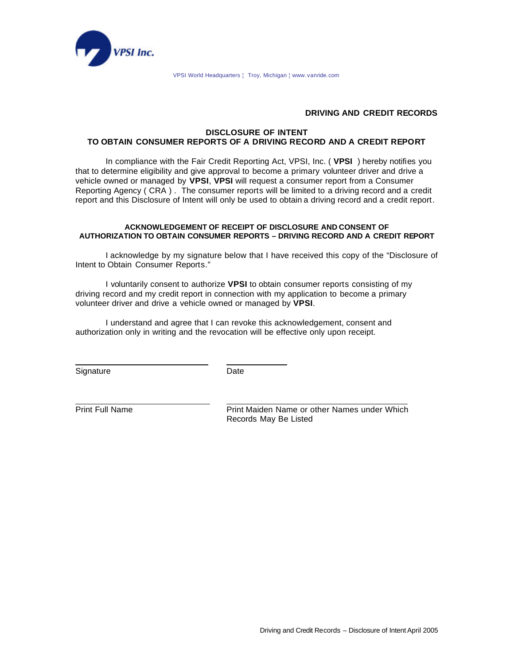

VPSI World Headquarters ¦ Troy, Michigan ¦ www. vanride.com

### **DRIVING AND CREDIT RECORDS**

### **DISCLOSURE OF INTENT TO OBTAIN CONSUMER REPORTS OF A DRIVING RECORD AND A CREDIT REPORT**

In compliance with the Fair Credit Reporting Act, VPSI, Inc. ( **VPSI** ) hereby notifies you that to determine eligibility and give approval to become a primary volunteer driver and drive a vehicle owned or managed by **VPSI**, **VPSI** will request a consumer report from a Consumer Reporting Agency ( CRA ) . The consumer reports will be limited to a driving record and a credit report and this Disclosure of Intent will only be used to obtain a driving record and a credit report.

#### **ACKNOWLEDGEMENT OF RECEIPT OF DISCLOSURE AND CONSENT OF AUTHORIZATION TO OBTAIN CONSUMER REPORTS – DRIVING RECORD AND A CREDIT REPORT**

I acknowledge by my signature below that I have received this copy of the "Disclosure of Intent to Obtain Consumer Reports."

I voluntarily consent to authorize **VPSI** to obtain consumer reports consisting of my driving record and my credit report in connection with my application to become a primary volunteer driver and drive a vehicle owned or managed by **VPSI**.

I understand and agree that I can revoke this acknowledgement, consent and authorization only in writing and the revocation will be effective only upon receipt.

Signature Date

Print Full Name Print Maiden Name or other Names under Which Records May Be Listed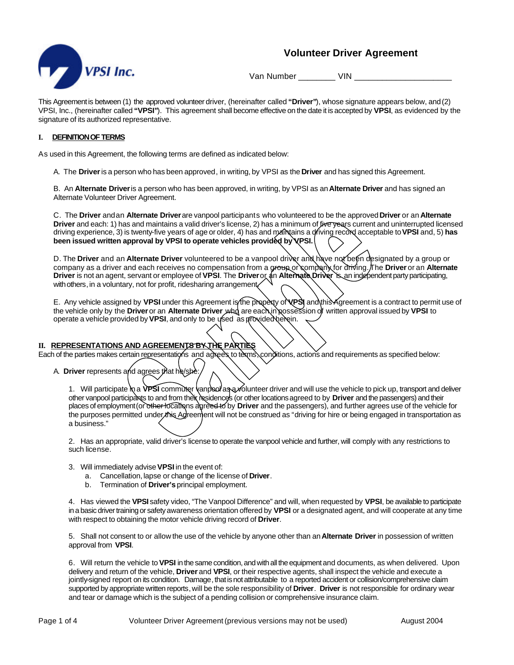

## **Volunteer Driver Agreement**

Van Number VIN

This Agreement is between (1) the approved volunteer driver, (hereinafter called **"Driver"**), whose signature appears below, and (2) VPSI, Inc., (hereinafter called **"VPSI"**). This agreement shall become effective on the date it is accepted by **VPSI**, as evidenced by the signature of its authorized representative.

#### **I. DEFINITION OF TERMS**

As used in this Agreement, the following terms are defined as indicated below:

A. The **Driver** is a person who has been approved, in writing, by VPSI as the **Driver** and has signed this Agreement.

B. An **Alternate Driver** is a person who has been approved, in writing, by VPSI as an **Alternate Driver** and has signed an Alternate Volunteer Driver Agreement.

C. The **Driver** and an **Alternate Driver** are vanpool participants who volunteered to be the approved **Driver** or an **Alternate Driver** and each: 1) has and maintains a valid driver's license, 2) has a minimum of five vears current and uninterrupted licensed driving experience, 3) is twenty-five years of age or older, 4) has and maintains a driving record acceptable to **VPSI** and, 5) **has been issued written approval by VPSI to operate vehicles provided by VPSI.**

D. The **Driver** and an **Alternate Driver** volunteered to be a vanpool driver and have not been designated by a group or company as a driver and each receives no compensation from a group or company for driving. The **Driver** or an **Alternate Driver** is not an agent, servant or employee of **VPSI**. The **Driver** or an **Alternate Driver** is an independent party participating, with others, in a voluntary, not for profit, ridesharing arrangement.

E. Any vehicle assigned by VPSI under this Agreement is the property of **VPS** and this Agreement is a contract to permit use of the vehicle only by the **Driver** or an **Alternate Driver** who are each in possession of written approval issued by **VPSI** to operate a vehicle provided by VPSI, and only to be used as provided herein.

### **II. REPRESENTATIONS AND AGREEMENTS BY THE PARTIES**

Each of the parties makes certain representations and agrees to terms, conditions, actions and requirements as specified below:

A. **Driver** represents and agrees that he/she:

1. Will participate  $\ln a$  **VPSI** commuter  $\tan b$  as  $\infty$  lunteer driver and will use the vehicle to pick up, transport and deliver other vanpool participants to and from their residences (or other locations agreed to by **Driver** and the passengers) and their places of employment (or other locations agreed to by **Driver** and the passengers), and further agrees use of the vehicle for the purposes permitted under this Agreement will not be construed as "driving for hire or being engaged in transportation as a business."

2. Has an appropriate, valid driver's license to operate the vanpool vehicle and further, will comply with any restrictions to such license.

- 3. Will immediately advise **VPSI** in the event of:
	- a. Cancellation, lapse or change of the license of **Driver**.
	- b. Termination of **Driver's** principal employment.

4. Has viewed the **VPSI** safety video, "The Vanpool Difference" and will, when requested by **VPSI**, be available to participate in a basic driver training or safety awareness orientation offered by **VPSI** or a designated agent, and will cooperate at any time with respect to obtaining the motor vehicle driving record of **Driver**.

5. Shall not consent to or allow the use of the vehicle by anyone other than an **Alternate Driver** in possession of written approval from **VPSI**.

6. Will return the vehicle to **VPSI** in the same condition, and with all the equipment and documents, as when delivered. Upon delivery and return of the vehicle, **Driver** and **VPSI**, or their respective agents, shall inspect the vehicle and execute a jointly-signed report on its condition. Damage, that is not attributable to a reported accident or collision/comprehensive claim supported by appropriate written reports, will be the sole responsibility of **Driver**. Driver is not responsible for ordinary wear and tear or damage which is the subject of a pending collision or comprehensive insurance claim.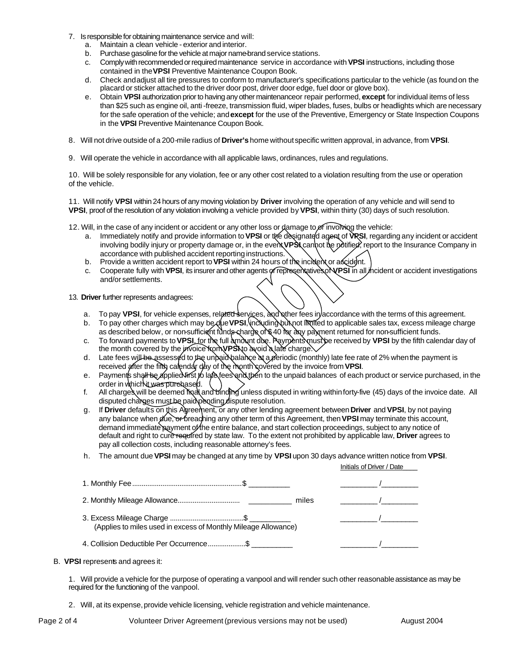- 7. Is responsible for obtaining maintenance service and will:
	- a. Maintain a clean vehicle exterior and interior.
	- b. Purchase gasoline for the vehicle at major name-brand service stations.
	- c. Comply with recommended or required maintenance service in accordance with **VPSI** instructions, including those contained in the **VPSI** Preventive Maintenance Coupon Book.
	- d. Check and adjust all tire pressures to conform to manufacturer's specifications particular to the vehicle (as found on the placard or sticker attached to the driver door post, driver door edge, fuel door or glove box).
	- e. Obtain **VPSI** authorization prior to having any other maintenance or repair performed, **except** for individual items of less than \$25 such as engine oil, anti-freeze, transmission fluid, wiper blades, fuses, bulbs or headlights which are necessary for the safe operation of the vehicle; and **except** for the use of the Preventive, Emergency or State Inspection Coupons in the **VPSI** Preventive Maintenance Coupon Book.
- 8. Will not drive outside of a 200-mile radius of **Driver's** home without specific written approval, in advance, from **VPSI**.
- 9. Will operate the vehicle in accordance with all applicable laws, ordinances, rules and regulations.

10. Will be solely responsible for any violation, fee or any other cost related to a violation resulting from the use or operation of the vehicle.

11. Will notify **VPSI** within 24 hours of any moving violation by **Driver** involving the operation of any vehicle and will send to **VPSI**, proof of the resolution of any violation involving a vehicle provided by **VPSI**, within thirty (30) days of such resolution.

- 12. Will, in the case of any incident or accident or any other loss or damage to of involving the vehicle:
	- a. Immediately notify and provide information to **VPSI** or the designated agent of **VPSI**, regarding any incident or accident involving bodily injury or property damage or, in the event **VPS** cannot be potified, report to the Insurance Company in accordance with published accident reporting instructions.
	- b. Provide a written accident report to **VPSI** within 24 hours of the incident or accident.
	- c. Cooperate fully with **VPSI**, its insurer and other agents or representatives of **VPSI** in all incident or accident investigations and/or settlements.

13. **Driver** further represents and agrees:

- a. To pay VPSI, for vehicle expenses, related services, and other fees in accordance with the terms of this agreement.
- b. To pay other charges which may be due VPSI, including but not limited to applicable sales tax, excess mileage charge as described below, or non-sufficient funds charge of \$40 for any payment returned for non-sufficient funds.
- c. To forward payments to **VPSI**, for the full amount due. Payments must be received by **VPSI** by the fifth calendar day of the month covered by the invoice from **VPS**No avoid a late charge.
- d. Late fees will be assessed to the unpaid balance at a periodic (monthly) late fee rate of 2% when the payment is received after the fifth calendar day of the month covered by the invoice from VPSI.
- e. Payments shall be applied first to late fees and then to the unpaid balances of each product or service purchased, in the order in which it was purchased.
- f. All charges will be deemed final and binding unless disputed in writing within forty-five (45) days of the invoice date. All disputed charges must be paid pending dispute resolution.
- g. If **Driver** defaults on this Agreement, or any other lending agreement between **Driver** and **VPSI**, by not paying any balance when due, or breaching any other term of this Agreement, then **VPSI** may terminate this account, demand immediate payment of the entire balance, and start collection proceedings, subject to any notice of default and right to cure required by state law. To the extent not prohibited by applicable law, **Driver** agrees to pay all collection costs, including reasonable attorney's fees.
- h. The amount due **VPSI**may be changed at any time by **VPSI** upon 30 days advance written notice from **VPSI**.

|                                                                | $\overline{a}$ |
|----------------------------------------------------------------|----------------|
| miles                                                          | $\overline{1}$ |
| (Applies to miles used in excess of Monthly Mileage Allowance) |                |
| 4. Collision Deductible Per Occurrence\$                       |                |

B. **VPSI** represents and agrees it:

1. Will provide a vehicle for the purpose of operating a vanpool and will render such other reasonable assistance as may be required for the functioning of the vanpool.

2. Will, at its expense, provide vehicle licensing, vehicle registration and vehicle maintenance.

Page 2 of 4 Volunteer Driver Agreement (previous versions may not be used) August 2004

Initials of Driver / Date\_\_\_\_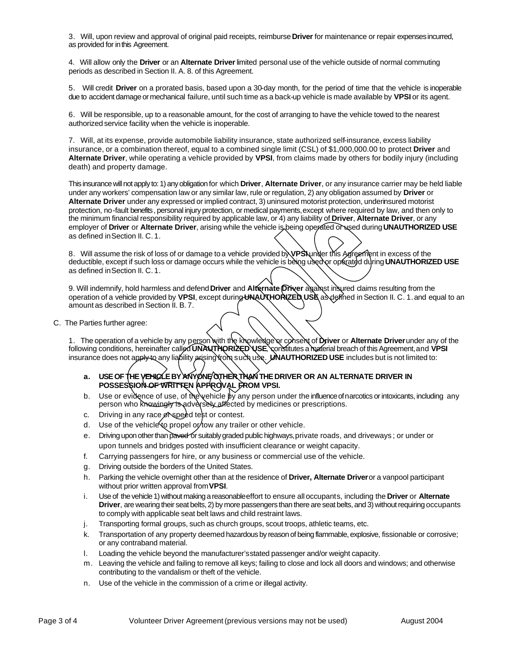3. Will, upon review and approval of original paid receipts, reimburse **Driver** for maintenance or repair expenses incurred, as provided for in this Agreement.

4. Will allow only the **Driver** or an **Alternate Driver** limited personal use of the vehicle outside of normal commuting periods as described in Section II. A. 8. of this Agreement.

5. Will credit **Driver** on a prorated basis, based upon a 30-day month, for the period of time that the vehicle is inoperable due to accident damage or mechanical failure, until such time as a back-up vehicle is made available by **VPSI** or its agent.

6. Will be responsible, up to a reasonable amount, for the cost of arranging to have the vehicle towed to the nearest authorized service facility when the vehicle is inoperable.

7. Will, at its expense, provide automobile liability insurance, state authorized self-insurance, excess liability insurance, or a combination thereof, equal to a combined single limit (CSL) of \$1,000,000.00 to protect **Driver** and **Alternate Driver**, while operating a vehicle provided by **VPSI**, from claims made by others for bodily injury (including death) and property damage.

This insurance will not apply to: 1) any obligation for which **Driver**, **Alternate Driver**, or any insurance carrier may be held liable under any workers' compensation law or any similar law, rule or regulation, 2) any obligation assumed by **Driver** or **Alternate Driver** under any expressed or implied contract, 3) uninsured motorist protection, underinsured motorist protection, no-fault benefits, personal injury protection, or medical payments, except where required by law, and then only to the minimum financial responsibility required by applicable law, or 4) any liability of **Driver**, **Alternate Driver**, or any employer of **Driver** or **Alternate Driver**, arising while the vehicle is being operated or used during **UNAUTHORIZED USE**  as defined in Section II. C.1.

8. Will assume the risk of loss of or damage to a vehicle provided by **VPSI** under this Agreement in excess of the deductible, except if such loss or damage occurs while the vehicle is being used or operated during **UNAUTHORIZED USE** as defined in Section II. C.1.

9. Will indemnify, hold harmless and defend **Driver** and **Alternate Driver** against insured claims resulting from the operation of a vehicle provided by **VPSI**, except during**UNAUTHORIZED USE** as defined inSection II. C. 1.and equal to an amount as described in Section II. B. 7.

C. The Parties further agree:

1. The operation of a vehicle by any person with the knowledge or consent of **Driver** or **Alternate Driver** under any of the following conditions, hereinafter called **UNAUTHORIZED USE**, constitutes a material breach of this Agreement, and **VPSI**  insurance does not apply to any liability arising from such use. **UNAUTHORIZED USE** includes but is not limited to:

- **a. USE OF THE VEHICLE BY ANYONE OTHER THAN THE DRIVER OR AN ALTERNATE DRIVER IN POSSESSION OF WRITTEN APPROVAL FROM VPSI.**
- b. Use or evidence of use, of the vehicle  $\cancel{b}$  any person under the influence of narcotics or intoxicants, including any person who knowingly is adversely affected by medicines or prescriptions.
- c. Driving in any race  $\beta$  speed test or contest.
- d. Use of the vehicle to propel or tow any trailer or other vehicle.
- e. Driving upon other than paved or suitably graded public highways, private roads, and driveways; or under or upon tunnels and bridges posted with insufficient clearance or weight capacity.
- f. Carrying passengers for hire, or any business or commercial use of the vehicle.
- g. Driving outside the borders of the United States.
- h. Parking the vehicle overnight other than at the residence of **Driver, Alternate Driver** or a vanpool participant without prior written approval from **VPSI**.
- i. Use of the vehicle 1) without making a reasonable effort to ensure all occupants, including the **Driver** or **Alternate Driver**, are wearing their seat belts, 2) by more passengers than there are seat belts, and 3) without requiring occupants to comply with applicable seat belt laws and child restraint laws.
- j. Transporting formal groups, such as church groups, scout troops, athletic teams, etc.
- k. Transportation of any property deemed hazardous by reason of being flammable, explosive, fissionable or corrosive; or any contraband material.
- l. Loading the vehicle beyond the manufacturer's stated passenger and/or weight capacity.
- m. Leaving the vehicle and failing to remove all keys; failing to close and lock all doors and windows; and otherwise contributing to the vandalism or theft of the vehicle.
- n. Use of the vehicle in the commission of a crime or illegal activity.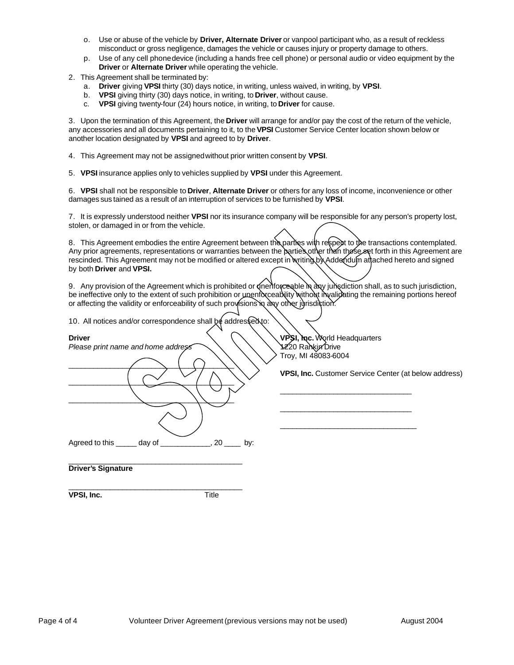- o. Use or abuse of the vehicle by **Driver, Alternate Driver** or vanpool participant who, as a result of reckless misconduct or gross negligence, damages the vehicle or causes injury or property damage to others.
- p. Use of any cell phone device (including a hands free cell phone) or personal audio or video equipment by the **Driver** or **Alternate Driver** while operating the vehicle.
- 2. This Agreement shall be terminated by:
	- a. **Driver** giving **VPSI** thirty (30) days notice, in writing, unless waived, in writing, by **VPSI**.
	- b. **VPSI** giving thirty (30) days notice, in writing, to **Driver**, without cause.
	- c. **VPSI** giving twenty-four (24) hours notice, in writing, to **Driver** for cause.

3. Upon the termination of this Agreement, the **Driver** will arrange for and/or pay the cost of the return of the vehicle, any accessories and all documents pertaining to it, to the **VPSI** Customer Service Center location shown below or another location designated by **VPSI** and agreed to by **Driver**.

- 4. This Agreement may not be assigned without prior written consent by **VPSI**.
- 5. **VPSI** insurance applies only to vehicles supplied by **VPSI** under this Agreement.

6. **VPSI** shall not be responsible to **Driver**, **Alternate Driver** or others for any loss of income, inconvenience or other damages sus tained as a result of an interruption of services to be furnished by **VPSI**.

7. It is expressly understood neither **VPSI** nor its insurance company will be responsible for any person's property lost, stolen, or damaged in or from the vehicle.

8. This Agreement embodies the entire Agreement between the parties with respect to the transactions contemplated. Any prior agreements, representations or warranties between the parties other than those set forth in this Agreement are rescinded. This Agreement may not be modified or altered except in writing by Addendum attached hereto and signed by both **Driver** and **VPSI.**

9. Any provision of the Agreement which is prohibited or  $\phi$ nenforceable in any jurisdiction shall, as to such jurisdiction, be ineffective only to the extent of such prohibition or unenforceability without invalidating the remaining portions hereof or affecting the validity or enforceability of such provisions in any other jurisdiction.

10. All notices and/or correspondence shall be addressed to:

| <b>Driver</b>                                              |
|------------------------------------------------------------|
| Please print name and home address                         |
|                                                            |
|                                                            |
|                                                            |
|                                                            |
| Agreed to this ______ day of _____________, 20 ____<br>by: |
| <b>Driver's Signature</b>                                  |

*Please print name and home address* 1220 Rankin Drive Troy, MI 48083-6004

\_\_\_\_\_\_\_\_\_\_\_\_\_\_\_\_\_\_\_\_\_\_\_\_\_\_\_\_\_\_\_\_

\_\_\_\_\_\_\_\_\_\_\_\_\_\_\_\_\_\_\_\_\_\_\_\_\_\_\_\_\_\_\_\_

\_\_\_\_\_\_\_\_\_\_\_\_\_\_\_\_\_\_\_\_\_\_\_\_\_\_\_\_\_\_\_\_\_

**Driver VPSI, Inc.** World Headquarters

**VPSI, Inc.** Customer Service Center (at below address)

\_\_\_\_\_\_\_\_\_\_\_\_\_\_\_\_\_\_\_\_\_\_\_\_\_\_\_\_\_\_\_\_\_\_\_\_\_\_\_\_\_\_ **VPSI, Inc.** Title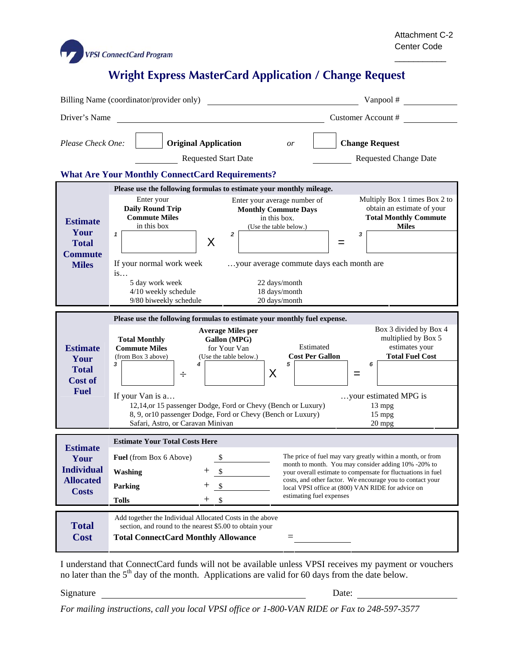

\_\_\_\_\_\_\_\_\_\_\_

## **Wright Express MasterCard Application / Change Request**

|                                                                                                                                                                                                                 | Billing Name (coordinator/provider only)                                                                                                                                                                                                                                                                                                                                                                                                                                             | Vanpool #                                                                                                   |  |  |  |  |
|-----------------------------------------------------------------------------------------------------------------------------------------------------------------------------------------------------------------|--------------------------------------------------------------------------------------------------------------------------------------------------------------------------------------------------------------------------------------------------------------------------------------------------------------------------------------------------------------------------------------------------------------------------------------------------------------------------------------|-------------------------------------------------------------------------------------------------------------|--|--|--|--|
| Driver's Name                                                                                                                                                                                                   |                                                                                                                                                                                                                                                                                                                                                                                                                                                                                      | Customer Account #                                                                                          |  |  |  |  |
| Please Check One:<br><b>Change Request</b><br><b>Original Application</b><br><i>or</i><br><b>Requested Start Date</b><br><b>Requested Change Date</b><br><b>What Are Your Monthly ConnectCard Requirements?</b> |                                                                                                                                                                                                                                                                                                                                                                                                                                                                                      |                                                                                                             |  |  |  |  |
| Please use the following formulas to estimate your monthly mileage.                                                                                                                                             |                                                                                                                                                                                                                                                                                                                                                                                                                                                                                      |                                                                                                             |  |  |  |  |
| <b>Estimate</b><br>Your<br><b>Total</b><br><b>Commute</b><br><b>Miles</b>                                                                                                                                       | Enter your<br>Enter your average number of<br><b>Daily Round Trip</b><br><b>Monthly Commute Days</b><br><b>Commute Miles</b><br>in this box.<br>in this box<br>(Use the table below.)<br>$\mathbf{1}$<br>2<br>3<br>X<br>=<br>If your normal work week<br>your average commute days each month are<br>is<br>5 day work week<br>22 days/month<br>4/10 weekly schedule<br>18 days/month<br>9/80 biweekly schedule<br>20 days/month                                                      | Multiply Box 1 times Box 2 to<br>obtain an estimate of your<br><b>Total Monthly Commute</b><br><b>Miles</b> |  |  |  |  |
|                                                                                                                                                                                                                 | Please use the following formulas to estimate your monthly fuel expense.                                                                                                                                                                                                                                                                                                                                                                                                             |                                                                                                             |  |  |  |  |
| <b>Estimate</b><br>Your<br><b>Total</b><br><b>Cost of</b><br><b>Fuel</b>                                                                                                                                        | <b>Average Miles per</b><br>Gallon (MPG)<br><b>Total Monthly</b><br>Estimated<br><b>Commute Miles</b><br>for Your Van<br><b>Cost Per Gallon</b><br>(from Box 3 above)<br>(Use the table below.)<br>3<br>4<br>5<br>X<br>÷<br>=                                                                                                                                                                                                                                                        | Box 3 divided by Box 4<br>multiplied by Box 5<br>estimates your<br><b>Total Fuel Cost</b><br>6              |  |  |  |  |
|                                                                                                                                                                                                                 | If your Van is a<br>12,14, or 15 passenger Dodge, Ford or Chevy (Bench or Luxury)<br>8, 9, or10 passenger Dodge, Ford or Chevy (Bench or Luxury)<br>Safari, Astro, or Caravan Minivan                                                                                                                                                                                                                                                                                                | your estimated MPG is<br>$13 \text{ mpg}$<br>$15$ mpg<br>$20$ mpg                                           |  |  |  |  |
| <b>Estimate</b><br>Your<br><b>Individual</b><br><b>Allocated</b><br><b>Costs</b>                                                                                                                                | <b>Estimate Your Total Costs Here</b><br>The price of fuel may vary greatly within a month, or from<br><b>Fuel</b> (from Box 6 Above)<br>S<br>month to month. You may consider adding 10% -20% to<br>Washing<br>\$<br>your overall estimate to compensate for fluctuations in fuel<br>costs, and other factor. We encourage you to contact your<br>┿<br>Parking<br>\$<br>local VPSI office at (800) VAN RIDE for advice on<br>estimating fuel expenses<br>$^+$<br>\$<br><b>Tolls</b> |                                                                                                             |  |  |  |  |
| <b>Total</b><br><b>Cost</b>                                                                                                                                                                                     | Add together the Individual Allocated Costs in the above<br>section, and round to the nearest \$5.00 to obtain your<br><b>Total ConnectCard Monthly Allowance</b>                                                                                                                                                                                                                                                                                                                    |                                                                                                             |  |  |  |  |

I understand that ConnectCard funds will not be available unless VPSI receives my payment or vouchers no later than the  $5<sup>th</sup>$  day of the month. Applications are valid for 60 days from the date below.

Signature Date:

*For mailing instructions, call you local VPSI office or 1-800-VAN RIDE or Fax to 248-597-3577*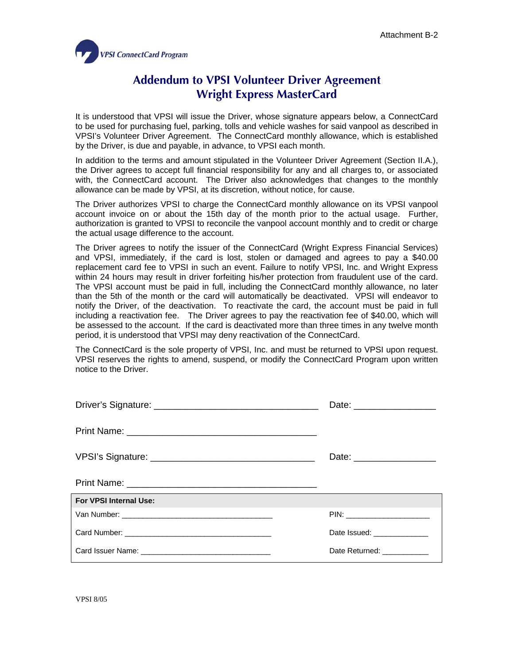

## **Addendum to VPSI Volunteer Driver Agreement Wright Express MasterCard**

It is understood that VPSI will issue the Driver, whose signature appears below, a ConnectCard to be used for purchasing fuel, parking, tolls and vehicle washes for said vanpool as described in VPSI's Volunteer Driver Agreement. The ConnectCard monthly allowance, which is established by the Driver, is due and payable, in advance, to VPSI each month.

In addition to the terms and amount stipulated in the Volunteer Driver Agreement (Section II.A.), the Driver agrees to accept full financial responsibility for any and all charges to, or associated with, the ConnectCard account. The Driver also acknowledges that changes to the monthly allowance can be made by VPSI, at its discretion, without notice, for cause.

The Driver authorizes VPSI to charge the ConnectCard monthly allowance on its VPSI vanpool account invoice on or about the 15th day of the month prior to the actual usage. Further, authorization is granted to VPSI to reconcile the vanpool account monthly and to credit or charge the actual usage difference to the account.

The Driver agrees to notify the issuer of the ConnectCard (Wright Express Financial Services) and VPSI, immediately, if the card is lost, stolen or damaged and agrees to pay a \$40.00 replacement card fee to VPSI in such an event. Failure to notify VPSI, Inc. and Wright Express within 24 hours may result in driver forfeiting his/her protection from fraudulent use of the card. The VPSI account must be paid in full, including the ConnectCard monthly allowance, no later than the 5th of the month or the card will automatically be deactivated. VPSI will endeavor to notify the Driver, of the deactivation. To reactivate the card, the account must be paid in full including a reactivation fee. The Driver agrees to pay the reactivation fee of \$40.00, which will be assessed to the account. If the card is deactivated more than three times in any twelve month period, it is understood that VPSI may deny reactivation of the ConnectCard.

The ConnectCard is the sole property of VPSI, Inc. and must be returned to VPSI upon request. VPSI reserves the rights to amend, suspend, or modify the ConnectCard Program upon written notice to the Driver.

|                        | Date: _____________________ |  |  |  |
|------------------------|-----------------------------|--|--|--|
|                        |                             |  |  |  |
| For VPSI Internal Use: |                             |  |  |  |
|                        |                             |  |  |  |
|                        | Date Issued: ______________ |  |  |  |
|                        | Date Returned: ___________  |  |  |  |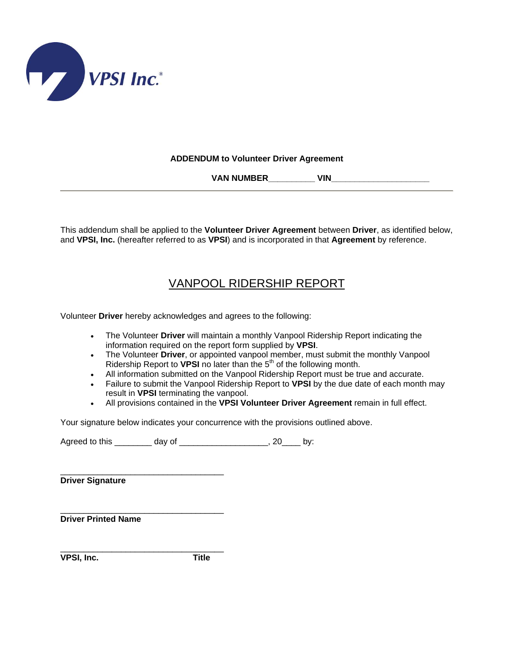

## **ADDENDUM to Volunteer Driver Agreement**

 **VAN NUMBER\_\_\_\_\_\_\_\_\_\_ VIN\_\_\_\_\_\_\_\_\_\_\_\_\_\_\_\_\_\_\_\_\_** 

This addendum shall be applied to the **Volunteer Driver Agreement** between **Driver**, as identified below, and **VPSI, Inc.** (hereafter referred to as **VPSI**) and is incorporated in that **Agreement** by reference.

## VANPOOL RIDERSHIP REPORT

Volunteer **Driver** hereby acknowledges and agrees to the following:

- The Volunteer **Driver** will maintain a monthly Vanpool Ridership Report indicating the information required on the report form supplied by **VPSI**.
- The Volunteer **Driver**, or appointed vanpool member, must submit the monthly Vanpool Ridership Report to **VPSI** no later than the 5<sup>th</sup> of the following month.
- All information submitted on the Vanpool Ridership Report must be true and accurate.
- Failure to submit the Vanpool Ridership Report to **VPSI** by the due date of each month may result in **VPSI** terminating the vanpool.
- All provisions contained in the **VPSI Volunteer Driver Agreement** remain in full effect.

Your signature below indicates your concurrence with the provisions outlined above.

Agreed to this \_\_\_\_\_\_\_\_\_ day of \_\_\_\_\_\_\_\_\_\_\_\_\_\_\_\_\_\_\_\_, 20\_\_\_\_ by:

 $\overline{\phantom{a}}$  , and the contract of the contract of the contract of  $\overline{\phantom{a}}$  ,  $\overline{\phantom{a}}$ **Driver Signature** 

**Driver Printed Name** 

**VPSI, Inc. Title** 

\_\_\_\_\_\_\_\_\_\_\_\_\_\_\_\_\_\_\_\_\_\_\_\_\_\_\_\_\_\_\_\_\_\_\_

\_\_\_\_\_\_\_\_\_\_\_\_\_\_\_\_\_\_\_\_\_\_\_\_\_\_\_\_\_\_\_\_\_\_\_